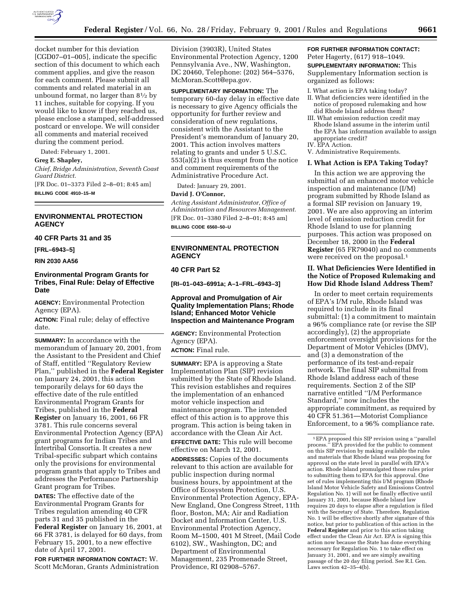

docket number for this deviation [CGD07–01–005], indicate the specific section of this document to which each comment applies, and give the reason for each comment. Please submit all comments and related material in an unbound format, no larger than 81⁄2 by 11 inches, suitable for copying. If you would like to know if they reached us, please enclose a stamped, self-addressed postcard or envelope. We will consider all comments and material received during the comment period.

Dated: February 1, 2001.

**Greg E. Shapley,**

*Chief, Bridge Administration, Seventh Coast Guard District.* [FR Doc. 01–3373 Filed 2–8–01; 8:45 am]

**BILLING CODE 4910–15–M**

# **ENVIRONMENTAL PROTECTION AGENCY**

**40 CFR Parts 31 and 35**

**[FRL–6943–5]**

**RIN 2030 AA56**

## **Environmental Program Grants for Tribes, Final Rule: Delay of Effective Date**

**AGENCY:** Environmental Protection Agency (EPA).

**ACTION:** Final rule; delay of effective date.

**SUMMARY:** In accordance with the memorandum of January 20, 2001, from the Assistant to the President and Chief of Staff, entitled ''Regulatory Review Plan,'' published in the **Federal Register** on January 24, 2001, this action temporarily delays for 60 days the effective date of the rule entitled Environmental Program Grants for Tribes, published in the **Federal Register** on January 16, 2001, 66 FR 3781. This rule concerns several Environmental Protection Agency (EPA) grant programs for Indian Tribes and Intertribal Consortia. It creates a new Tribal-specific subpart which contains only the provisions for environmental program grants that apply to Tribes and addresses the Performance Partnership Grant program for Tribes.

**DATES:** The effective date of the Environmental Program Grants for Tribes regulation amending 40 CFR parts 31 and 35 published in the **Federal Register** on January 16, 2001, at 66 FR 3781, is delayed for 60 days, from February 15, 2001, to a new effective date of April 17, 2001.

**FOR FURTHER INFORMATION CONTACT:** W. Scott McMoran, Grants Administration Division (3903R), United States Environmental Protection Agency, 1200 Pennsylvania Ave., NW, Washington, DC 20460, Telephone: (202) 564–5376, McMoran.Scott@epa.gov.

**SUPPLEMENTARY INFORMATION:** The temporary 60-day delay in effective date is necessary to give Agency officials the opportunity for further review and consideration of new regulations, consistent with the Assistant to the President's memorandum of January 20, 2001. This action involves matters relating to grants and under 5 U.S.C. 553(a)(2) is thus exempt from the notice and comment requirements of the Administrative Procedure Act.

Dated: January 29, 2001.

#### **David J. O'Connor,**

*Acting Assistant Administrator, Office of Administration and Resources Management.* [FR Doc. 01–3380 Filed 2–8–01; 8:45 am]

**BILLING CODE 6560–50–U**

## **ENVIRONMENTAL PROTECTION AGENCY**

### **40 CFR Part 52**

**[RI–01–043–6991a; A–1–FRL–6943–3]**

### **Approval and Promulgation of Air Quality Implementation Plans; Rhode Island; Enhanced Motor Vehicle Inspection and Maintenance Program**

**AGENCY:** Environmental Protection Agency (EPA).

**ACTION:** Final rule.

**SUMMARY:** EPA is approving a State Implementation Plan (SIP) revision submitted by the State of Rhode Island. This revision establishes and requires the implementation of an enhanced motor vehicle inspection and maintenance program. The intended effect of this action is to approve this program. This action is being taken in accordance with the Clean Air Act.

**EFFECTIVE DATE:** This rule will become effective on March 12, 2001.

**ADDRESSES:** Copies of the documents relevant to this action are available for public inspection during normal business hours, by appointment at the Office of Ecosystem Protection, U.S. Environmental Protection Agency, EPA-New England, One Congress Street, 11th floor, Boston, MA; Air and Radiation Docket and Information Center, U.S. Environmental Protection Agency, Room M–1500, 401 M Street, (Mail Code 6102), SW., Washington, DC; and Department of Environmental Management, 235 Promenade Street, Providence, RI 02908–5767.

**FOR FURTHER INFORMATION CONTACT:** Peter Hagerty, (617) 918–1049. **SUPPLEMENTARY INFORMATION:** This Supplementary Information section is organized as follows:

I. What action is EPA taking today?

- II. What deficiencies were identified in the notice of proposed rulemaking and how did Rhode Island address them?
- III. What emission reduction credit may Rhode Island assume in the interim until the EPA has information available to assign appropriate credit?
- IV. EPA Action.
- V. Administrative Requirements.

#### **I. What Action is EPA Taking Today?**

In this action we are approving the submittal of an enhanced motor vehicle inspection and maintenance (I/M) program submitted by Rhode Island as a formal SIP revision on January 19, 2001. We are also approving an interim level of emission reduction credit for Rhode Island to use for planning purposes. This action was proposed on December 18, 2000 in the **Federal Register** (65 FR79040) and no comments were received on the proposal.<sup>1</sup>

### **II. What Deficiencies Were Identified in the Notice of Proposed Rulemaking and How Did Rhode Island Address Them?**

In order to meet certain requirements of EPA's I/M rule, Rhode Island was required to include in its final submittal: (1) a commitment to maintain a 96% compliance rate (or revise the SIP accordingly), (2) the appropriate enforcement oversight provisions for the Department of Motor Vehicles (DMV), and (3) a demonstration of the performance of its test-and-repair network. The final SIP submittal from Rhode Island address each of these requirements. Section 2 of the SIP narrative entitled ''I/M Performance Standard,'' now includes the appropriate commitment, as required by 40 CFR 51.361—Motorist Compliance Enforcement, to a 96% compliance rate.

<sup>1</sup>EPA proposed this SIP revision using a ''parallel process.'' EPA provided for the public to comment on this SIP revision by making available the rules and materials that Rhode Island was proposing for approval on the state level in parallel with EPA's action. Rhode Island promulgated those rules prior to submitting them to EPA for this approval. One set of rules implementing this I/M program (Rhode Island Motor Vehicle Safety and Emissions Control Regulation No. 1) will not be finally effective until January 31, 2001, because Rhode Island law requires 20 days to elapse after a regulation is filed with the Secretary of State. Therefore, Regulation No. 1 will be effective shortly after signature of this notice, but prior to publication of this action in the **Federal Register** and prior to this action taking effect under the Clean Air Act. EPA is signing this action now because the State has done everything necessary for Regulation No. 1 to take effect on January 31, 2001, and we are simply awaiting passage of the 20 day filing period. See R.I. Gen. Laws section  $42 - 35 - 4$ (b).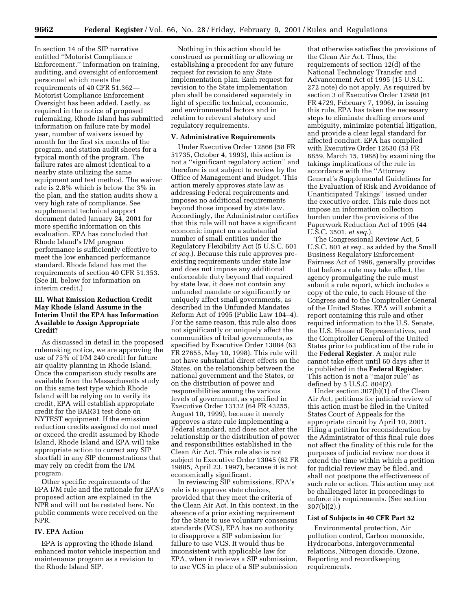**9662 Federal Register** / Vol. 66, No. 28 / Friday, February 9, 2001 / Rules and Regulations

In section 14 of the SIP narrative entitled ''Motorist Compliance Enforcement,'' information on training, auditing, and oversight of enforcement personnel which meets the requirements of 40 CFR 51.362— Motorist Compliance Enforcement Oversight has been added. Lastly, as required in the notice of proposed rulemaking, Rhode Island has submitted information on failure rate by model year, number of waivers issued by month for the first six months of the program, and station audit sheets for a typical month of the program. The failure rates are almost identical to a nearby state utilizing the same equipment and test method. The waiver rate is 2.8% which is below the 3% in the plan, and the station audits show a very high rate of compliance. See supplemental technical support document dated January 24, 2001 for more specific information on this evaluation. EPA has concluded that Rhode Island's I/M program performance is sufficiently effective to meet the low enhanced performance standard. Rhode Island has met the requirements of section 40 CFR 51.353. (See III. below for information on interim credit.)

## **III. What Emission Reduction Credit May Rhode Island Assume in the Interim Until the EPA has Information Available to Assign Appropriate Credit?**

As discussed in detail in the proposed rulemaking notice, we are approving the use of 75% of I/M 240 credit for future air quality planning in Rhode Island. Once the comparison study results are available from the Massachusetts study on this same test type which Rhode Island will be relying on to verify its credit, EPA will establish appropriate credit for the BAR31 test done on NYTEST equipment. If the emission reduction credits assigned do not meet or exceed the credit assumed by Rhode Island, Rhode Island and EPA will take appropriate action to correct any SIP shortfall in any SIP demonstrations that may rely on credit from the I/M program.

Other specific requirements of the EPA I/M rule and the rationale for EPA's proposed action are explained in the NPR and will not be restated here. No public comments were received on the NPR.

## **IV. EPA Action**

EPA is approving the Rhode Island enhanced motor vehicle inspection and maintenance program as a revision to the Rhode Island SIP.

Nothing in this action should be construed as permitting or allowing or establishing a precedent for any future request for revision to any State implementation plan. Each request for revision to the State implementation plan shall be considered separately in light of specific technical, economic, and environmental factors and in relation to relevant statutory and regulatory requirements.

#### **V. Administrative Requirements**

Under Executive Order 12866 (58 FR 51735, October 4, 1993), this action is not a ''significant regulatory action'' and therefore is not subject to review by the Office of Management and Budget. This action merely approves state law as addressing Federal requirements and imposes no additional requirements beyond those imposed by state law. Accordingly, the Administrator certifies that this rule will not have a significant economic impact on a substantial number of small entities under the Regulatory Flexibility Act (5 U.S.C. 601 *et seq.*). Because this rule approves preexisting requirements under state law and does not impose any additional enforceable duty beyond that required by state law, it does not contain any unfunded mandate or significantly or uniquely affect small governments, as described in the Unfunded Mandates Reform Act of 1995 (Public Law 104–4). For the same reason, this rule also does not significantly or uniquely affect the communities of tribal governments, as specified by Executive Order 13084 (63 FR 27655, May 10, 1998). This rule will not have substantial direct effects on the States, on the relationship between the national government and the States, or on the distribution of power and responsibilities among the various levels of government, as specified in Executive Order 13132 (64 FR 43255, August 10, 1999), because it merely approves a state rule implementing a Federal standard, and does not alter the relationship or the distribution of power and responsibilities established in the Clean Air Act. This rule also is not subject to Executive Order 13045 (62 FR 19885, April 23, 1997), because it is not economically significant.

In reviewing SIP submissions, EPA's role is to approve state choices, provided that they meet the criteria of the Clean Air Act. In this context, in the absence of a prior existing requirement for the State to use voluntary consensus standards (VCS), EPA has no authority to disapprove a SIP submission for failure to use VCS. It would thus be inconsistent with applicable law for EPA, when it reviews a SIP submission, to use VCS in place of a SIP submission

that otherwise satisfies the provisions of the Clean Air Act. Thus, the requirements of section 12(d) of the National Technology Transfer and Advancement Act of 1995 (15 U.S.C. 272 note) do not apply. As required by section 3 of Executive Order 12988 (61 FR 4729, February 7, 1996), in issuing this rule, EPA has taken the necessary steps to eliminate drafting errors and ambiguity, minimize potential litigation, and provide a clear legal standard for affected conduct. EPA has complied with Executive Order 12630 (53 FR 8859, March 15, 1988) by examining the takings implications of the rule in accordance with the ''Attorney General's Supplemental Guidelines for the Evaluation of Risk and Avoidance of Unanticipated Takings'' issued under the executive order. This rule does not impose an information collection burden under the provisions of the Paperwork Reduction Act of 1995 (44 U.S.C. 3501, *et seq.*).

The Congressional Review Act, 5 U.S.C. 801 *et seq.*, as added by the Small Business Regulatory Enforcement Fairness Act of 1996, generally provides that before a rule may take effect, the agency promulgating the rule must submit a rule report, which includes a copy of the rule, to each House of the Congress and to the Comptroller General of the United States. EPA will submit a report containing this rule and other required information to the U.S. Senate, the U.S. House of Representatives, and the Comptroller General of the United States prior to publication of the rule in the **Federal Register**. A major rule cannot take effect until 60 days after it is published in the **Federal Register**. This action is not a ''major rule'' as defined by 5 U.S.C. 804(2).

Under section 307(b)(1) of the Clean Air Act, petitions for judicial review of this action must be filed in the United States Court of Appeals for the appropriate circuit by April 10, 2001. Filing a petition for reconsideration by the Administrator of this final rule does not affect the finality of this rule for the purposes of judicial review nor does it extend the time within which a petition for judicial review may be filed, and shall not postpone the effectiveness of such rule or action. This action may not be challenged later in proceedings to enforce its requirements. (See section 307(b)(2).)

### **List of Subjects in 40 CFR Part 52**

Environmental protection, Air pollution control, Carbon monoxide, Hydrocarbons, Intergovernmental relations, Nitrogen dioxide, Ozone, Reporting and recordkeeping requirements.